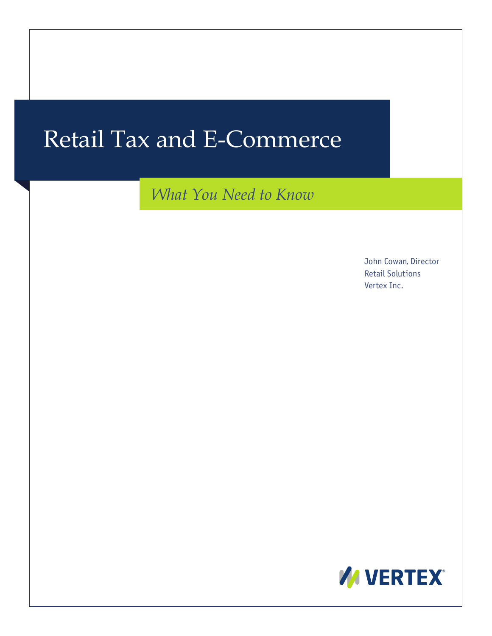# Retail Tax and E-Commerce

*What You Need to Know*

John Cowan, Director Retail Solutions Vertex Inc.

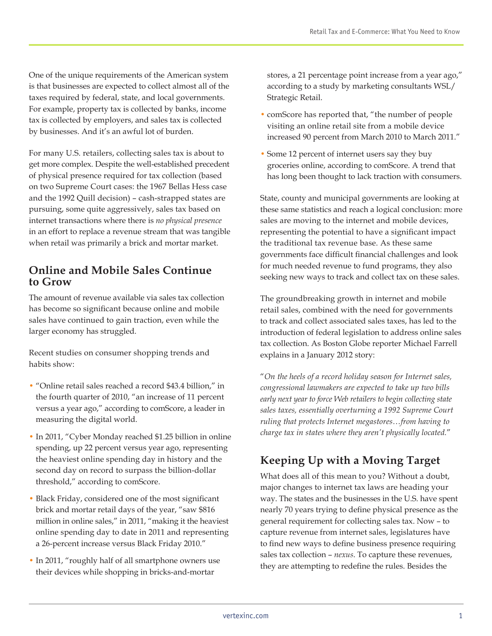One of the unique requirements of the American system is that businesses are expected to collect almost all of the taxes required by federal, state, and local governments. For example, property tax is collected by banks, income tax is collected by employers, and sales tax is collected by businesses. And it's an awful lot of burden.

For many U.S. retailers, collecting sales tax is about to get more complex. Despite the well-established precedent of physical presence required for tax collection (based on two Supreme Court cases: the 1967 Bellas Hess case and the 1992 Quill decision) – cash-strapped states are pursuing, some quite aggressively, sales tax based on internet transactions where there is *no physical presence* in an effort to replace a revenue stream that was tangible when retail was primarily a brick and mortar market.

# **Online and Mobile Sales Continue to Grow**

The amount of revenue available via sales tax collection has become so significant because online and mobile sales have continued to gain traction, even while the larger economy has struggled.

Recent studies on consumer shopping trends and habits show:

- "Online retail sales reached a record \$43.4 billion," in the fourth quarter of 2010, "an increase of 11 percent versus a year ago," according to comScore, a leader in measuring the digital world.
- In 2011, "Cyber Monday reached \$1.25 billion in online spending, up 22 percent versus year ago, representing the heaviest online spending day in history and the second day on record to surpass the billion-dollar threshold," according to comScore.
- Black Friday, considered one of the most significant brick and mortar retail days of the year, "saw \$816 million in online sales," in 2011, "making it the heaviest online spending day to date in 2011 and representing a 26-percent increase versus Black Friday 2010."
- In 2011, "roughly half of all smartphone owners use their devices while shopping in bricks-and-mortar

stores, a 21 percentage point increase from a year ago," according to a study by marketing consultants WSL/ Strategic Retail.

- comScore has reported that, "the number of people visiting an online retail site from a mobile device increased 90 percent from March 2010 to March 2011."
- Some 12 percent of internet users say they buy groceries online, according to comScore. A trend that has long been thought to lack traction with consumers.

State, county and municipal governments are looking at these same statistics and reach a logical conclusion: more sales are moving to the internet and mobile devices, representing the potential to have a significant impact the traditional tax revenue base. As these same governments face difficult financial challenges and look for much needed revenue to fund programs, they also seeking new ways to track and collect tax on these sales.

The groundbreaking growth in internet and mobile retail sales, combined with the need for governments to track and collect associated sales taxes, has led to the introduction of federal legislation to address online sales tax collection. As Boston Globe reporter Michael Farrell explains in a January 2012 story:

"*On the heels of a record holiday season for Internet sales, congressional lawmakers are expected to take up two bills early next year to force Web retailers to begin collecting state sales taxes, essentially overturning a 1992 Supreme Court ruling that protects Internet megastores…from having to charge tax in states where they aren't physically located.*"

# **Keeping Up with a Moving Target**

What does all of this mean to you? Without a doubt, major changes to internet tax laws are heading your way. The states and the businesses in the U.S. have spent nearly 70 years trying to define physical presence as the general requirement for collecting sales tax. Now – to capture revenue from internet sales, legislatures have to find new ways to define business presence requiring sales tax collection – *nexus*. To capture these revenues, they are attempting to redefine the rules. Besides the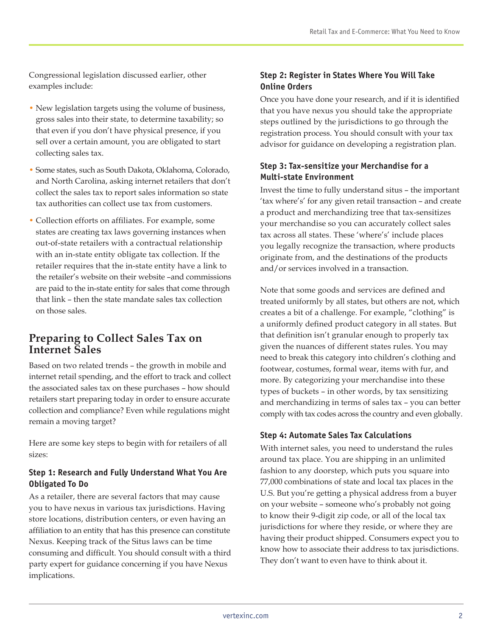Congressional legislation discussed earlier, other examples include:

- New legislation targets using the volume of business, gross sales into their state, to determine taxability; so that even if you don't have physical presence, if you sell over a certain amount, you are obligated to start collecting sales tax.
- Some states, such as South Dakota, Oklahoma, Colorado, and North Carolina, asking internet retailers that don't collect the sales tax to report sales information so state tax authorities can collect use tax from customers.
- Collection efforts on affiliates. For example, some states are creating tax laws governing instances when out-of-state retailers with a contractual relationship with an in-state entity obligate tax collection. If the retailer requires that the in-state entity have a link to the retailer's website on their website –and commissions are paid to the in-state entity for sales that come through that link – then the state mandate sales tax collection on those sales.

# **Preparing to Collect Sales Tax on Internet Sales**

Based on two related trends – the growth in mobile and internet retail spending, and the effort to track and collect the associated sales tax on these purchases – how should retailers start preparing today in order to ensure accurate collection and compliance? Even while regulations might remain a moving target?

Here are some key steps to begin with for retailers of all sizes:

#### **Step 1: Research and Fully Understand What You Are Obligated To Do**

As a retailer, there are several factors that may cause you to have nexus in various tax jurisdictions. Having store locations, distribution centers, or even having an affiliation to an entity that has this presence can constitute Nexus. Keeping track of the Situs laws can be time consuming and difficult. You should consult with a third party expert for guidance concerning if you have Nexus implications.

## **Step 2: Register in States Where You Will Take Online Orders**

Once you have done your research, and if it is identified that you have nexus you should take the appropriate steps outlined by the jurisdictions to go through the registration process. You should consult with your tax advisor for guidance on developing a registration plan.

## **Step 3: Tax-sensitize your Merchandise for a Multi-state Environment**

Invest the time to fully understand situs – the important 'tax where's' for any given retail transaction – and create a product and merchandizing tree that tax-sensitizes your merchandise so you can accurately collect sales tax across all states. These 'where's' include places you legally recognize the transaction, where products originate from, and the destinations of the products and/or services involved in a transaction.

Note that some goods and services are defined and treated uniformly by all states, but others are not, which creates a bit of a challenge. For example, "clothing" is a uniformly defined product category in all states. But that definition isn't granular enough to properly tax given the nuances of different states rules. You may need to break this category into children's clothing and footwear, costumes, formal wear, items with fur, and more. By categorizing your merchandise into these types of buckets – in other words, by tax sensitizing and merchandizing in terms of sales tax – you can better comply with tax codes across the country and even globally.

## **Step 4: Automate Sales Tax Calculations**

With internet sales, you need to understand the rules around tax place. You are shipping in an unlimited fashion to any doorstep, which puts you square into 77,000 combinations of state and local tax places in the U.S. But you're getting a physical address from a buyer on your website – someone who's probably not going to know their 9-digit zip code, or all of the local tax jurisdictions for where they reside, or where they are having their product shipped. Consumers expect you to know how to associate their address to tax jurisdictions. They don't want to even have to think about it.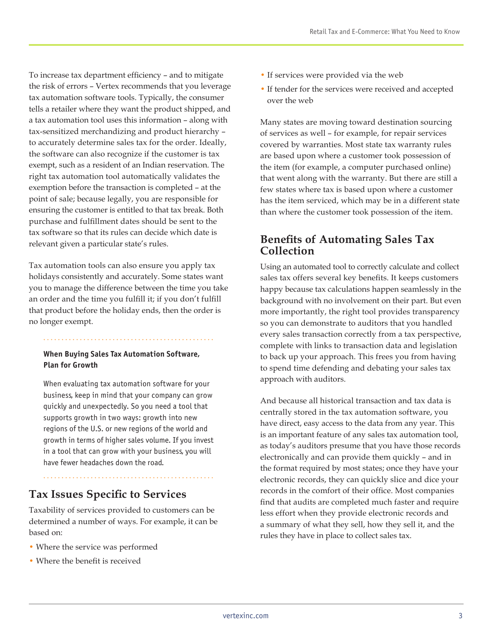To increase tax department efficiency – and to mitigate the risk of errors – Vertex recommends that you leverage tax automation software tools. Typically, the consumer tells a retailer where they want the product shipped, and a tax automation tool uses this information – along with tax-sensitized merchandizing and product hierarchy – to accurately determine sales tax for the order. Ideally, the software can also recognize if the customer is tax exempt, such as a resident of an Indian reservation. The right tax automation tool automatically validates the exemption before the transaction is completed – at the point of sale; because legally, you are responsible for ensuring the customer is entitled to that tax break. Both purchase and fulfillment dates should be sent to the tax software so that its rules can decide which date is relevant given a particular state's rules.

Tax automation tools can also ensure you apply tax holidays consistently and accurately. Some states want you to manage the difference between the time you take an order and the time you fulfill it; if you don't fulfill that product before the holiday ends, then the order is no longer exempt.

#### **When Buying Sales Tax Automation Software, Plan for Growth**

When evaluating tax automation software for your business, keep in mind that your company can grow quickly and unexpectedly. So you need a tool that supports growth in two ways: growth into new regions of the U.S. or new regions of the world and growth in terms of higher sales volume. If you invest in a tool that can grow with your business, you will have fewer headaches down the road.

# **Tax Issues Specific to Services**

Taxability of services provided to customers can be determined a number of ways. For example, it can be based on:

- Where the service was performed
- Where the benefit is received
- If services were provided via the web
- If tender for the services were received and accepted over the web

Many states are moving toward destination sourcing of services as well – for example, for repair services covered by warranties. Most state tax warranty rules are based upon where a customer took possession of the item (for example, a computer purchased online) that went along with the warranty. But there are still a few states where tax is based upon where a customer has the item serviced, which may be in a different state than where the customer took possession of the item.

# **Benefits of Automating Sales Tax Collection**

Using an automated tool to correctly calculate and collect sales tax offers several key benefits. It keeps customers happy because tax calculations happen seamlessly in the background with no involvement on their part. But even more importantly, the right tool provides transparency so you can demonstrate to auditors that you handled every sales transaction correctly from a tax perspective, complete with links to transaction data and legislation to back up your approach. This frees you from having to spend time defending and debating your sales tax approach with auditors.

And because all historical transaction and tax data is centrally stored in the tax automation software, you have direct, easy access to the data from any year. This is an important feature of any sales tax automation tool, as today's auditors presume that you have those records electronically and can provide them quickly – and in the format required by most states; once they have your electronic records, they can quickly slice and dice your records in the comfort of their office. Most companies find that audits are completed much faster and require less effort when they provide electronic records and a summary of what they sell, how they sell it, and the rules they have in place to collect sales tax.